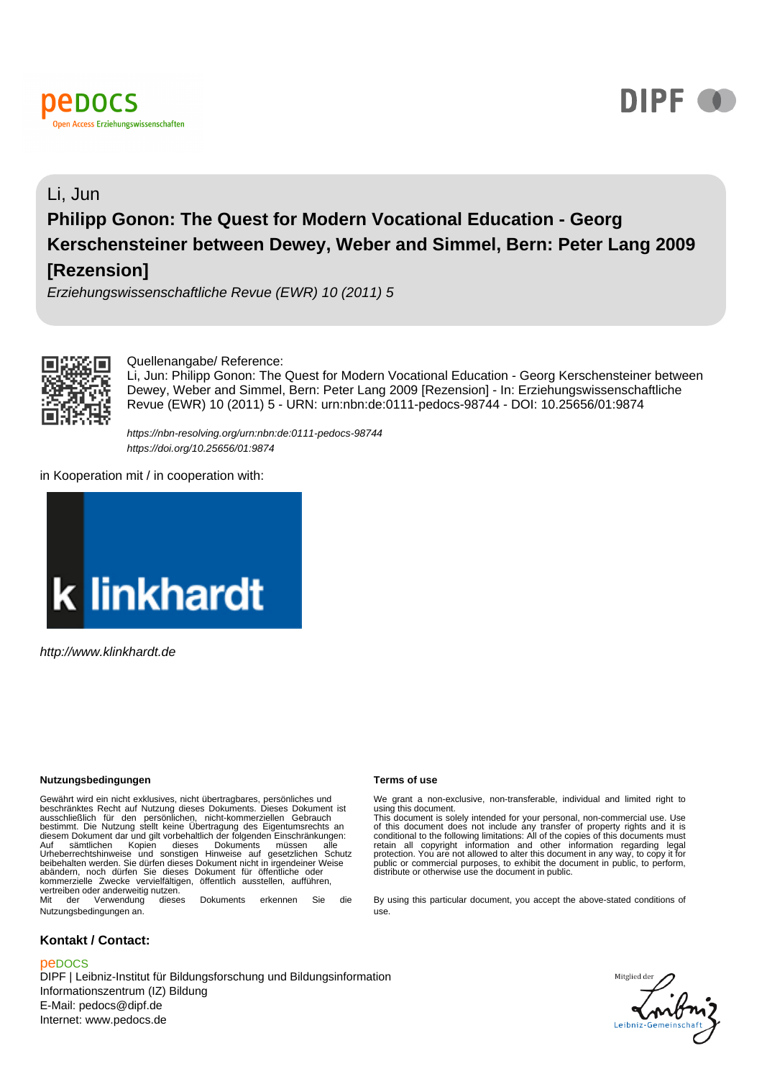



# Li, Jun **Philipp Gonon: The Quest for Modern Vocational Education - Georg Kerschensteiner between Dewey, Weber and Simmel, Bern: Peter Lang 2009 [Rezension]**

Erziehungswissenschaftliche Revue (EWR) 10 (2011) 5



Quellenangabe/ Reference:

Li, Jun: Philipp Gonon: The Quest for Modern Vocational Education - Georg Kerschensteiner between Dewey, Weber and Simmel, Bern: Peter Lang 2009 [Rezension] - In: Erziehungswissenschaftliche Revue (EWR) 10 (2011) 5 - URN: urn:nbn:de:0111-pedocs-98744 - DOI: 10.25656/01:9874

https://nbn-resolving.org/urn:nbn:de:0111-pedocs-98744 https://doi.org/10.25656/01:9874

in Kooperation mit / in cooperation with:



http://www.klinkhardt.de

#### **Nutzungsbedingungen Terms of use**

Gewährt wird ein nicht exklusives, nicht übertragbares, persönliches und<br>beschränktes Recht auf Nutzung dieses Dokuments. Dieses Dokument ist<br>ausschließlich für den persönlichen, nicht-kommerziellen Gebrunch<br>bestimmt. Die abändern, noch dürfen Sie dieses Dokument für öffentliche oder kommerzielle Zwecke vervielfältigen, öffentlich ausstellen, aufführen, vertreiben oder anderweitig nutzen.<br>Mit der Verwendung dieses

Mit der Verwendung dieses Dokuments erkennen Sie die Nutzungsbedingungen an.

### **Kontakt / Contact:**

#### peDOCS

DIPF | Leibniz-Institut für Bildungsforschung und Bildungsinformation Informationszentrum (IZ) Bildung E-Mail: pedocs@dipf.de Internet: www.pedocs.de

We grant a non-exclusive, non-transferable, individual and limited right to using this document. This document is solely intended for your personal, non-commercial use. Use

of this document does not include any transfer of property rights and it is<br>conditional to the following limitations: All of the copies of this documents must<br>retain all copyright information and other information regardin protection. You are not allowed to alter this document in any way, to copy it for public or commercial purposes, to exhibit the document in public, to perform, distribute or otherwise use the document in public.

By using this particular document, you accept the above-stated conditions of use.

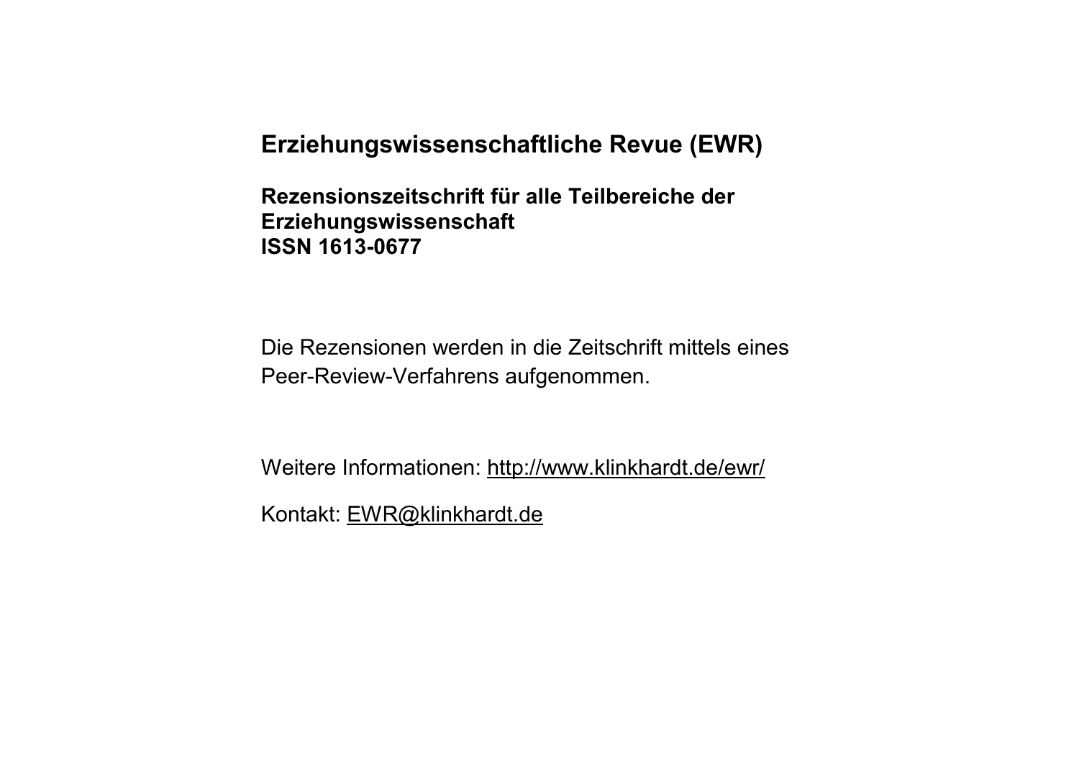## **Erziehungswissenschaftliche Revue (EWR)**

**Rezensionszeitschrift für alle Teilbereiche der Erziehungswissenschaft ISSN 1613-0677**

Die Rezensionen werden in die Zeitschrift mittels eines Peer-Review-Verfahrens aufgenommen.

Weitere Informationen:<http://www.klinkhardt.de/ewr/>

Kontakt: [EWR@klinkhardt.de](mailto:EWR@klinkhardt.de)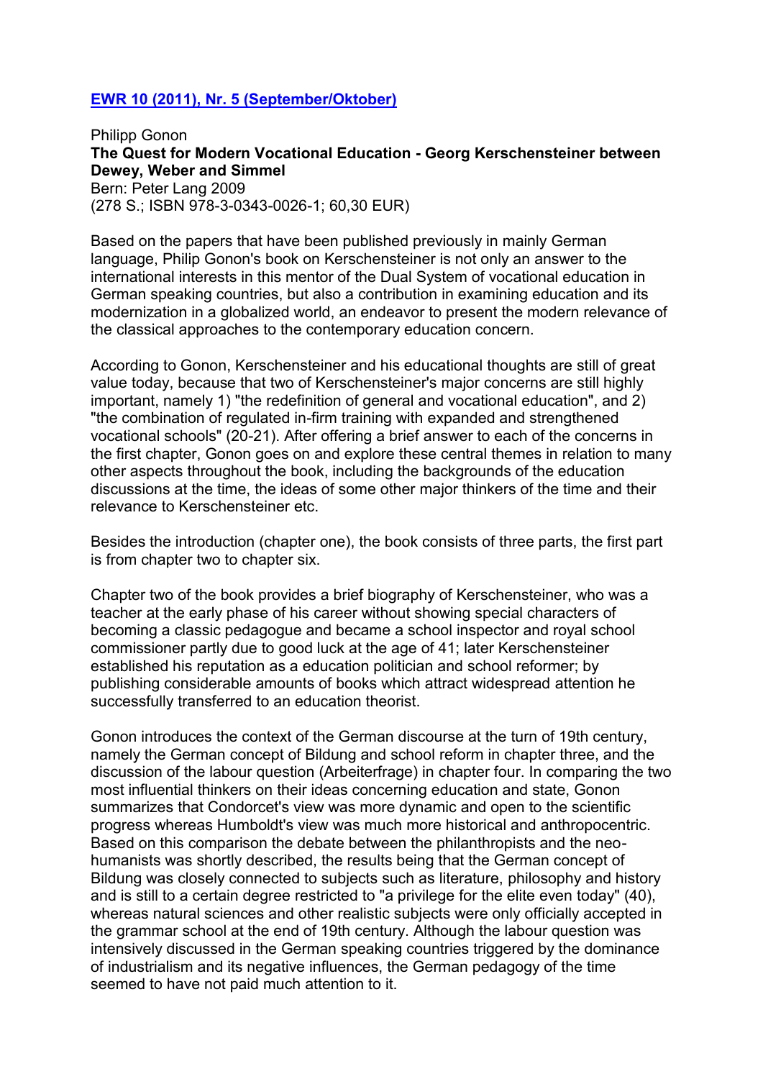# **[EWR 10 \(2011\), Nr. 5 \(September/Oktober\)](http://www.klinkhardt.de/ewr/issue/60/76.html)**

Philipp Gonon **The Quest for Modern Vocational Education - Georg Kerschensteiner between Dewey, Weber and Simmel**  Bern: Peter Lang 2009 (278 S.; ISBN 978-3-0343-0026-1; 60,30 EUR)

Based on the papers that have been published previously in mainly German language, Philip Gonon's book on Kerschensteiner is not only an answer to the international interests in this mentor of the Dual System of vocational education in German speaking countries, but also a contribution in examining education and its modernization in a globalized world, an endeavor to present the modern relevance of the classical approaches to the contemporary education concern.

According to Gonon, Kerschensteiner and his educational thoughts are still of great value today, because that two of Kerschensteiner's major concerns are still highly important, namely 1) "the redefinition of general and vocational education", and 2) "the combination of regulated in-firm training with expanded and strengthened vocational schools" (20-21). After offering a brief answer to each of the concerns in the first chapter, Gonon goes on and explore these central themes in relation to many other aspects throughout the book, including the backgrounds of the education discussions at the time, the ideas of some other major thinkers of the time and their relevance to Kerschensteiner etc.

Besides the introduction (chapter one), the book consists of three parts, the first part is from chapter two to chapter six.

Chapter two of the book provides a brief biography of Kerschensteiner, who was a teacher at the early phase of his career without showing special characters of becoming a classic pedagogue and became a school inspector and royal school commissioner partly due to good luck at the age of 41; later Kerschensteiner established his reputation as a education politician and school reformer; by publishing considerable amounts of books which attract widespread attention he successfully transferred to an education theorist.

Gonon introduces the context of the German discourse at the turn of 19th century, namely the German concept of Bildung and school reform in chapter three, and the discussion of the labour question (Arbeiterfrage) in chapter four. In comparing the two most influential thinkers on their ideas concerning education and state, Gonon summarizes that Condorcet's view was more dynamic and open to the scientific progress whereas Humboldt's view was much more historical and anthropocentric. Based on this comparison the debate between the philanthropists and the neohumanists was shortly described, the results being that the German concept of Bildung was closely connected to subjects such as literature, philosophy and history and is still to a certain degree restricted to "a privilege for the elite even today" (40), whereas natural sciences and other realistic subjects were only officially accepted in the grammar school at the end of 19th century. Although the labour question was intensively discussed in the German speaking countries triggered by the dominance of industrialism and its negative influences, the German pedagogy of the time seemed to have not paid much attention to it.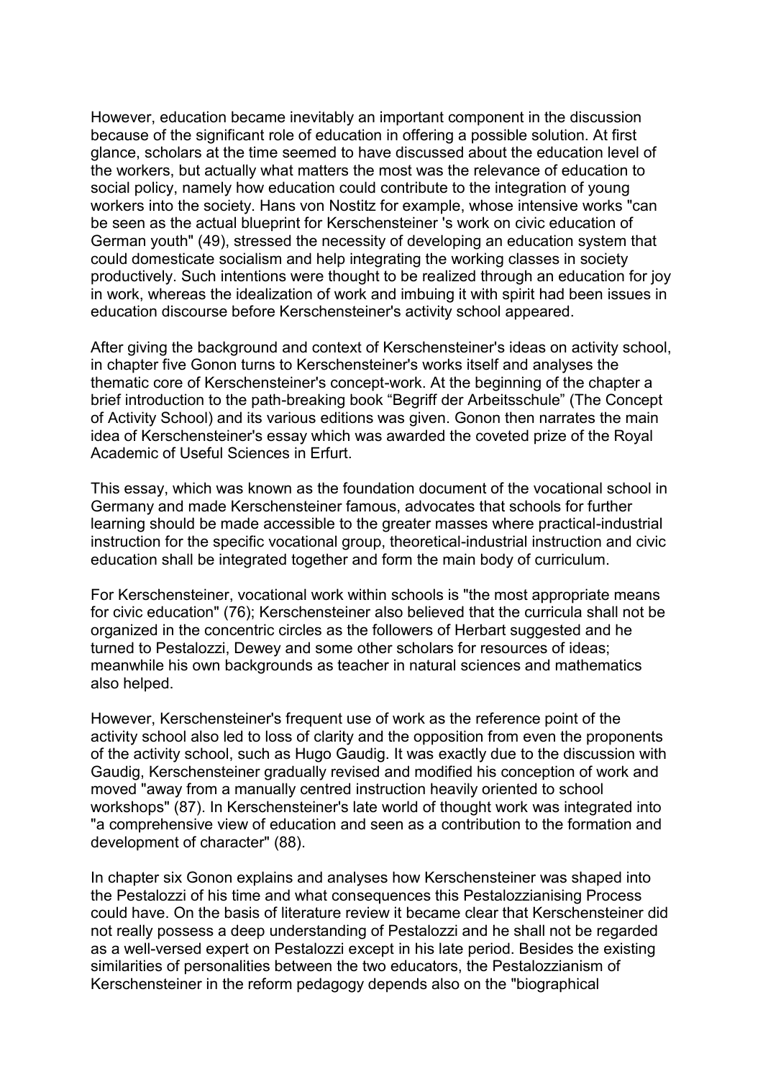However, education became inevitably an important component in the discussion because of the significant role of education in offering a possible solution. At first glance, scholars at the time seemed to have discussed about the education level of the workers, but actually what matters the most was the relevance of education to social policy, namely how education could contribute to the integration of young workers into the society. Hans von Nostitz for example, whose intensive works "can be seen as the actual blueprint for Kerschensteiner 's work on civic education of German youth" (49), stressed the necessity of developing an education system that could domesticate socialism and help integrating the working classes in society productively. Such intentions were thought to be realized through an education for joy in work, whereas the idealization of work and imbuing it with spirit had been issues in education discourse before Kerschensteiner's activity school appeared.

After giving the background and context of Kerschensteiner's ideas on activity school, in chapter five Gonon turns to Kerschensteiner's works itself and analyses the thematic core of Kerschensteiner's concept-work. At the beginning of the chapter a brief introduction to the path-breaking book "Begriff der Arbeitsschule" (The Concept of Activity School) and its various editions was given. Gonon then narrates the main idea of Kerschensteiner's essay which was awarded the coveted prize of the Royal Academic of Useful Sciences in Erfurt.

This essay, which was known as the foundation document of the vocational school in Germany and made Kerschensteiner famous, advocates that schools for further learning should be made accessible to the greater masses where practical-industrial instruction for the specific vocational group, theoretical-industrial instruction and civic education shall be integrated together and form the main body of curriculum.

For Kerschensteiner, vocational work within schools is "the most appropriate means for civic education" (76); Kerschensteiner also believed that the curricula shall not be organized in the concentric circles as the followers of Herbart suggested and he turned to Pestalozzi, Dewey and some other scholars for resources of ideas; meanwhile his own backgrounds as teacher in natural sciences and mathematics also helped.

However, Kerschensteiner's frequent use of work as the reference point of the activity school also led to loss of clarity and the opposition from even the proponents of the activity school, such as Hugo Gaudig. It was exactly due to the discussion with Gaudig, Kerschensteiner gradually revised and modified his conception of work and moved "away from a manually centred instruction heavily oriented to school workshops" (87). In Kerschensteiner's late world of thought work was integrated into "a comprehensive view of education and seen as a contribution to the formation and development of character" (88).

In chapter six Gonon explains and analyses how Kerschensteiner was shaped into the Pestalozzi of his time and what consequences this Pestalozzianising Process could have. On the basis of literature review it became clear that Kerschensteiner did not really possess a deep understanding of Pestalozzi and he shall not be regarded as a well-versed expert on Pestalozzi except in his late period. Besides the existing similarities of personalities between the two educators, the Pestalozzianism of Kerschensteiner in the reform pedagogy depends also on the "biographical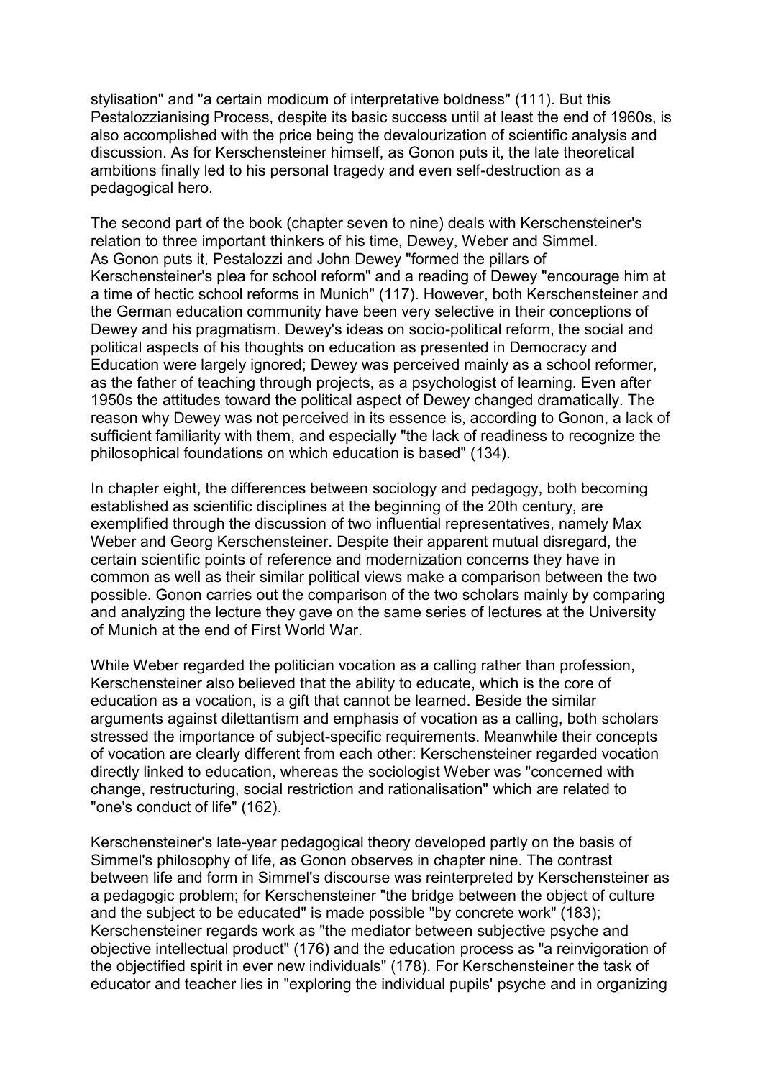stylisation" and "a certain modicum of interpretative boldness" (111). But this Pestalozzianising Process, despite its basic success until at least the end of 1960s, is also accomplished with the price being the devalourization of scientific analysis and discussion. As for Kerschensteiner himself, as Gonon puts it, the late theoretical ambitions finally led to his personal tragedy and even self-destruction as a pedagogical hero.

The second part of the book (chapter seven to nine) deals with Kerschensteiner's relation to three important thinkers of his time, Dewey, Weber and Simmel. As Gonon puts it, Pestalozzi and John Dewey "formed the pillars of Kerschensteiner's plea for school reform" and a reading of Dewey "encourage him at a time of hectic school reforms in Munich" (117). However, both Kerschensteiner and the German education community have been very selective in their conceptions of Dewey and his pragmatism. Dewey's ideas on socio-political reform, the social and political aspects of his thoughts on education as presented in Democracy and Education were largely ignored; Dewey was perceived mainly as a school reformer, as the father of teaching through projects, as a psychologist of learning. Even after 1950s the attitudes toward the political aspect of Dewey changed dramatically. The reason why Dewey was not perceived in its essence is, according to Gonon, a lack of sufficient familiarity with them, and especially "the lack of readiness to recognize the philosophical foundations on which education is based" (134).

In chapter eight, the differences between sociology and pedagogy, both becoming established as scientific disciplines at the beginning of the 20th century, are exemplified through the discussion of two influential representatives, namely Max Weber and Georg Kerschensteiner. Despite their apparent mutual disregard, the certain scientific points of reference and modernization concerns they have in common as well as their similar political views make a comparison between the two possible. Gonon carries out the comparison of the two scholars mainly by comparing and analyzing the lecture they gave on the same series of lectures at the University of Munich at the end of First World War.

While Weber regarded the politician vocation as a calling rather than profession, Kerschensteiner also believed that the ability to educate, which is the core of education as a vocation, is a gift that cannot be learned. Beside the similar arguments against dilettantism and emphasis of vocation as a calling, both scholars stressed the importance of subject-specific requirements. Meanwhile their concepts of vocation are clearly different from each other: Kerschensteiner regarded vocation directly linked to education, whereas the sociologist Weber was "concerned with change, restructuring, social restriction and rationalisation" which are related to "one's conduct of life" (162).

Kerschensteiner's late-year pedagogical theory developed partly on the basis of Simmel's philosophy of life, as Gonon observes in chapter nine. The contrast between life and form in Simmel's discourse was reinterpreted by Kerschensteiner as a pedagogic problem; for Kerschensteiner "the bridge between the object of culture and the subject to be educated" is made possible "by concrete work" (183); Kerschensteiner regards work as "the mediator between subjective psyche and objective intellectual product" (176) and the education process as "a reinvigoration of the objectified spirit in ever new individuals" (178). For Kerschensteiner the task of educator and teacher lies in "exploring the individual pupils' psyche and in organizing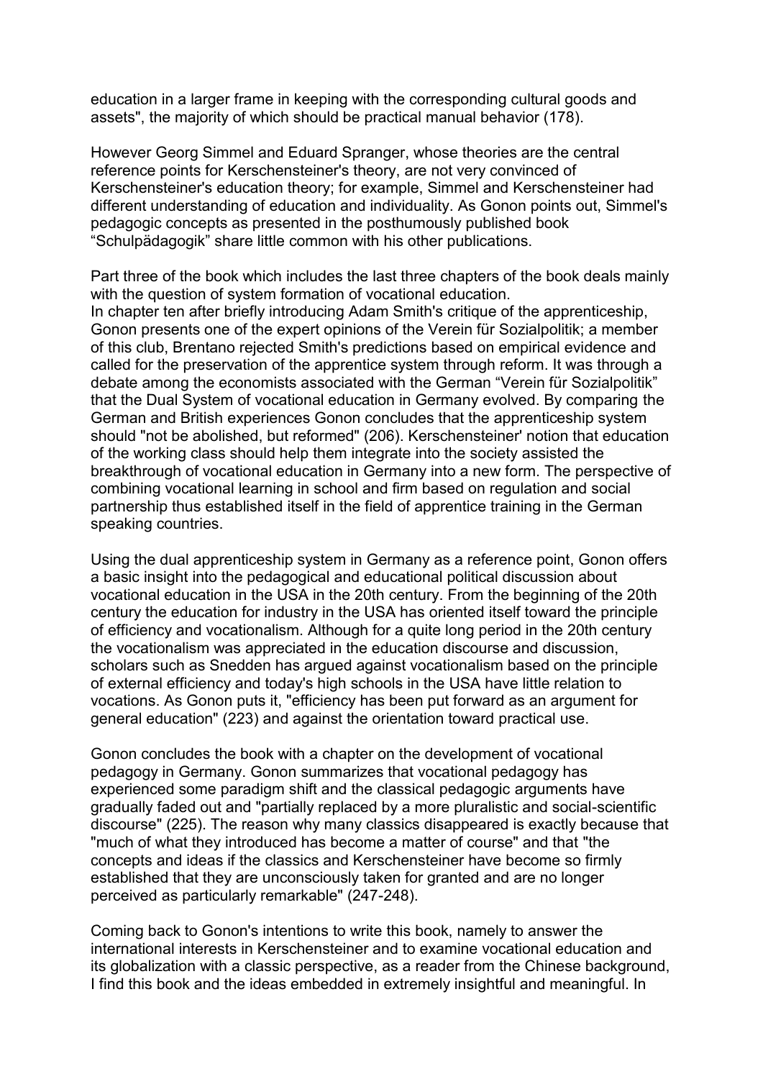education in a larger frame in keeping with the corresponding cultural goods and assets", the majority of which should be practical manual behavior (178).

However Georg Simmel and Eduard Spranger, whose theories are the central reference points for Kerschensteiner's theory, are not very convinced of Kerschensteiner's education theory; for example, Simmel and Kerschensteiner had different understanding of education and individuality. As Gonon points out, Simmel's pedagogic concepts as presented in the posthumously published book "Schulpädagogik" share little common with his other publications.

Part three of the book which includes the last three chapters of the book deals mainly with the question of system formation of vocational education. In chapter ten after briefly introducing Adam Smith's critique of the apprenticeship, Gonon presents one of the expert opinions of the Verein für Sozialpolitik; a member of this club, Brentano rejected Smith's predictions based on empirical evidence and called for the preservation of the apprentice system through reform. It was through a debate among the economists associated with the German "Verein für Sozialpolitik" that the Dual System of vocational education in Germany evolved. By comparing the German and British experiences Gonon concludes that the apprenticeship system should "not be abolished, but reformed" (206). Kerschensteiner' notion that education of the working class should help them integrate into the society assisted the breakthrough of vocational education in Germany into a new form. The perspective of combining vocational learning in school and firm based on regulation and social partnership thus established itself in the field of apprentice training in the German speaking countries.

Using the dual apprenticeship system in Germany as a reference point, Gonon offers a basic insight into the pedagogical and educational political discussion about vocational education in the USA in the 20th century. From the beginning of the 20th century the education for industry in the USA has oriented itself toward the principle of efficiency and vocationalism. Although for a quite long period in the 20th century the vocationalism was appreciated in the education discourse and discussion, scholars such as Snedden has argued against vocationalism based on the principle of external efficiency and today's high schools in the USA have little relation to vocations. As Gonon puts it, "efficiency has been put forward as an argument for general education" (223) and against the orientation toward practical use.

Gonon concludes the book with a chapter on the development of vocational pedagogy in Germany. Gonon summarizes that vocational pedagogy has experienced some paradigm shift and the classical pedagogic arguments have gradually faded out and "partially replaced by a more pluralistic and social-scientific discourse" (225). The reason why many classics disappeared is exactly because that "much of what they introduced has become a matter of course" and that "the concepts and ideas if the classics and Kerschensteiner have become so firmly established that they are unconsciously taken for granted and are no longer perceived as particularly remarkable" (247-248).

Coming back to Gonon's intentions to write this book, namely to answer the international interests in Kerschensteiner and to examine vocational education and its globalization with a classic perspective, as a reader from the Chinese background, I find this book and the ideas embedded in extremely insightful and meaningful. In